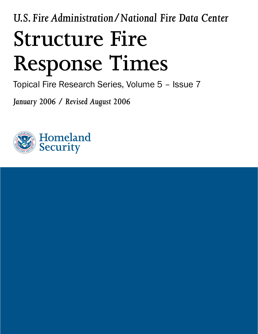*U.S. Fire Administration/National Fire Data Center* **Structure Fire Response Times**

Topical Fire Research Series, Volume 5 – Issue 7

*January 2006 / Revised August 2006* 

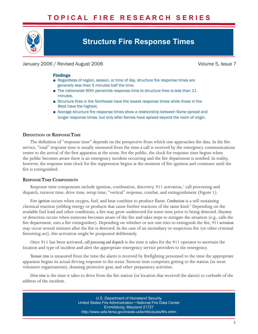# **T O P I C A L F I R E R E S E A R C H S E R I E S**



# **Structure Fire Response Times**

# January 2006 / Revised August 2006 Volume 5, Issue 7

## Findings

- Regardless of region, season, or time of day, structure fire response times are generally less than 5 minutes half the time.
- The nationwide 90th percentile response time to structure fires is less than 11 minutes.
- Structure fires in the Northeast have the lowest response times while those in the West have the highest.
- Average structure fire response times show a relationship between flame spread and longer response times, but only after flames have spread beyond the room of origin.

## **DEFINITION OF RESPONSE TIME**

The definition of "response time" depends on the perspective from which one approaches the data. In the fire service, "total" response time is usually measured from the time a call is received by the emergency communications center to the arrival of the first apparatus at the scene. For the public, the clock for response time begins when the public becomes aware there is an emergency incident occurring and the fire department is notified. In reality, however, the response time clock for fire suppression begins at the moment of fire ignition and continues until the fire is extinguished.

## **RESPONSE TIME COMPONENTS**

Response time components include ignition, combustion, discovery, 911 activation,<sup>1</sup> call processing and dispatch, turnout time, drive time, setup time, "vertical" response, combat, and extinguishment (Figure 1).

Fire *ignition* occurs when oxygen, fuel, and heat combine to produce flame. Combustion is a self-sustaining chemical reaction yielding energy or products that cause further reactions of the same kind.<sup>2</sup> Depending on the available fuel load and other conditions, a fire may grow undetected for some time prior to being detected. *Discovery*  or detection occurs when someone becomes aware of the fire and takes steps to mitigate the situation (e.g., calls the fire department, uses a fire extinguisher). Depending on whether or not one tries to extinguish the fire, 911 activation may occur several minutes after the fire is detected. In the case of an incendiary or suspicious fire (or other criminal firesetting act), this activation might be postponed deliberately.

Once 911 has been activated, *call processing and dispatch* is the time it takes for the 911 operator to ascertain the location and type of incident and alert the appropriate emergency service providers to the emergency.

*Turnout time* is measured from the time the alarm is received by firefighting personnel to the time the appropriate apparatus begins its actual driving response to the scene.Turnout time comprises getting to the station (in most volunteer organizations), donning protective gear, and other preparatory activities.

*Drive time* is the time it takes to drive from the fire station (or location that received the alarm) to curbside of the address of the incident.

> U.S. Department of Homeland Security United States Fire Administration • National Fire Data Center Emmitsburg, Maryland 21727 <http://www.usfa.fema.gov/inside-usfa/nfdc/pubs/tfrs.shtm>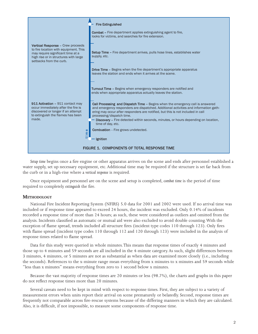

*Setup time* begins once a fire engine or other apparatus arrives on the scene and ends after personnel established a water supply, set up necessary equipment, etc. Additional time may be required if the structure is set far back from the curb or in a high-rise where a *vertical response* is required.

Once equipment and personnel are on the scene and setup is completed, *combat time* is the period of time required to completely *extinguish* the fire.

## **METHODOLOGY**

National Fire Incident Reporting System (NFIRS) 5.0 data for 2001 and 2002 were used. If no arrival time was included or if response time appeared to exceed 24 hours, the incident was excluded. Only 0.14% of incidents recorded a response time of more than 24 hours; as such, these were considered as outliers and omitted from the analysis. Incidents classified as automatic or mutual aid were also excluded to avoid double counting.With the exception of flame spread, trends included all structure fires (incident type codes 110 through 123). Only fires with flame spread (incident type codes 110 through 112 and 120 through 123) were included in the analysis of response times related to flame spread.

Data for this study were queried in whole minutes.This means that response times of exactly 4 minutes and those up to 4 minutes and 59 seconds are all included in the 4-minute category. As such, slight differences between 3 minutes, 4 minutes, or 5 minutes are not as substantial as when data are examined more closely (i.e., including the seconds). References to the x-minute range mean everything from x minutes to x minutes and 59 seconds while "less than x minutes" means everything from zero to 1 second below x minutes.

Because the vast majority of response times are 20 minutes or less (98.7%), the charts and graphs in this paper do not reflect response times more than 20 minutes.

Several caveats need to be kept in mind with respect to response times. First, they are subject to a variety of measurement errors when units report their arrival on scene prematurely or belatedly. Second, response times are frequently not comparable across fire-rescue systems because of the differing manners in which they are calculated. Also, it is difficult, if not impossible, to measure some components of response time.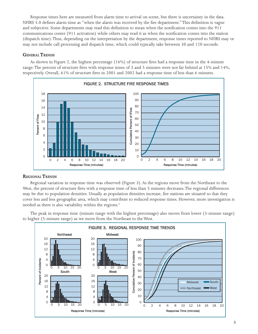Response times here are measured from alarm time to arrival on scene, but there is uncertainty in the data. NFIRS 5.0 defines alarm time as "when the alarm was received by the fire department." This definition is vague and subjective. Some departments may read this definition to mean when the notification comes into the 911 communications center (911 activation) while others may read it as when the notification comes into the station (dispatch time).Thus, depending on the interpretation by the department, response times reported to NFIRS may or may not include call processing and dispatch time, which could typically take between 30 and 120 seconds.

## **GENERAL TRENDS**

As shown in Figure 2, the highest percentage (16%) of structure fires had a response time in the 4-minute range.The percent of structure fires with response times of 3 and 5 minutes were not far behind at 15% and 14%, respectively. Overall, 61% of structure fires in 2001 and 2002 had a response time of less than 6 minutes.



# **REGIONAL TRENDS**

Regional variation in response time was observed (Figure 3). As the regions move from the Northeast to the West, the percent of structure fires with a response time of less than 5 minutes decreases.The regional differences may be due to population densities. Usually as population densities increase, fire stations are situated so that they cover less and less geographic area, which may contribute to reduced response times. However, more investigation is needed as there is also variability within the regions. 3

The peak in response time (minute range with the highest percentage) also moves from lower (3-minute range) to higher (5-minute range) as we move from the Northeast to the West.

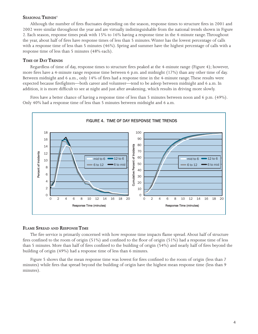## **SEASONAL TRENDS**<sup>4</sup>

Although the number of fires fluctuates depending on the season, response times to structure fires in 2001 and 2002 were similar throughout the year and are virtually indistinguishable from the national trends shown in Figure 2. Each season, response times peak with 15% to 16% having a response time in the 4-minute range.Throughout the year, about half of fires have response times of less than 5 minutes.Winter has the lowest percentage of calls with a response time of less than 5 minutes (46%). Spring and summer have the highest percentage of calls with a response time of less than 5 minutes (48% each).

## **TIME OF DAY TRENDS**

Regardless of time of day, response times to structure fires peaked at the 4-minute range (Figure 4); however, more fires have a 4-minute range response time between 6 p.m. and midnight (17%) than any other time of day. Between midnight and 6 a.m., only 14% of fires had a response time in the 4-minute range.These results were expected because firefighters—both career and volunteer—tend to be asleep between midnight and 6 a.m. In addition, it is more difficult to see at night and just after awakening, which results in driving more slowly.

Fires have a better chance of having a response time of less than 5 minutes between noon and 6 p.m. (49%). Only 40% had a response time of less than 5 minutes between midnight and 6 a.m.



## **FLAME SPREAD AND RESPONSE TIME**

The fire service is primarily concerned with how response time impacts flame spread. About half of structure fires confined to the room of origin  $(51%)$  and confined to the floor of origin  $(51%)$  had a response time of less than 5 minutes. More than half of fires confined to the building of origin (54%) and nearly half of fires beyond the building of origin (49%) had a response time of less than 6 minutes.

Figure 5 shows that the mean response time was lowest for fires confined to the room of origin (less than 7 minutes) while fires that spread beyond the building of origin have the highest mean response time (less than 9 minutes).